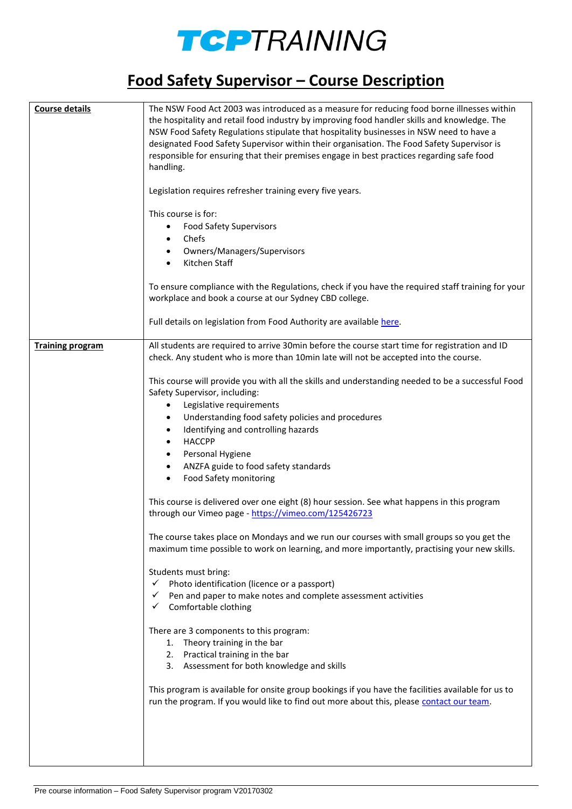

## **Food Safety Supervisor – Course Description**

| <b>Course details</b>   | The NSW Food Act 2003 was introduced as a measure for reducing food borne illnesses within<br>the hospitality and retail food industry by improving food handler skills and knowledge. The<br>NSW Food Safety Regulations stipulate that hospitality businesses in NSW need to have a<br>designated Food Safety Supervisor within their organisation. The Food Safety Supervisor is<br>responsible for ensuring that their premises engage in best practices regarding safe food<br>handling.<br>Legislation requires refresher training every five years.<br>This course is for:<br><b>Food Safety Supervisors</b><br>$\bullet$<br>Chefs<br>Owners/Managers/Supervisors<br>Kitchen Staff |
|-------------------------|-------------------------------------------------------------------------------------------------------------------------------------------------------------------------------------------------------------------------------------------------------------------------------------------------------------------------------------------------------------------------------------------------------------------------------------------------------------------------------------------------------------------------------------------------------------------------------------------------------------------------------------------------------------------------------------------|
|                         | To ensure compliance with the Regulations, check if you have the required staff training for your<br>workplace and book a course at our Sydney CBD college.<br>Full details on legislation from Food Authority are available here.                                                                                                                                                                                                                                                                                                                                                                                                                                                        |
|                         |                                                                                                                                                                                                                                                                                                                                                                                                                                                                                                                                                                                                                                                                                           |
| <b>Training program</b> | All students are required to arrive 30min before the course start time for registration and ID<br>check. Any student who is more than 10min late will not be accepted into the course.                                                                                                                                                                                                                                                                                                                                                                                                                                                                                                    |
|                         | This course will provide you with all the skills and understanding needed to be a successful Food<br>Safety Supervisor, including:<br>Legislative requirements<br>$\bullet$<br>Understanding food safety policies and procedures<br>٠<br>Identifying and controlling hazards<br><b>HACCPP</b><br>Personal Hygiene<br>$\bullet$<br>ANZFA guide to food safety standards<br>$\bullet$                                                                                                                                                                                                                                                                                                       |
|                         | <b>Food Safety monitoring</b><br>$\bullet$<br>This course is delivered over one eight (8) hour session. See what happens in this program                                                                                                                                                                                                                                                                                                                                                                                                                                                                                                                                                  |
|                         | through our Vimeo page - https://vimeo.com/125426723                                                                                                                                                                                                                                                                                                                                                                                                                                                                                                                                                                                                                                      |
|                         | The course takes place on Mondays and we run our courses with small groups so you get the<br>maximum time possible to work on learning, and more importantly, practising your new skills.                                                                                                                                                                                                                                                                                                                                                                                                                                                                                                 |
|                         | Students must bring:<br>Photo identification (licence or a passport)<br>✓<br>Pen and paper to make notes and complete assessment activities<br>Comfortable clothing                                                                                                                                                                                                                                                                                                                                                                                                                                                                                                                       |
|                         | There are 3 components to this program:<br>1. Theory training in the bar<br>2. Practical training in the bar<br>3. Assessment for both knowledge and skills                                                                                                                                                                                                                                                                                                                                                                                                                                                                                                                               |
|                         | This program is available for onsite group bookings if you have the facilities available for us to<br>run the program. If you would like to find out more about this, please contact our team.                                                                                                                                                                                                                                                                                                                                                                                                                                                                                            |
|                         |                                                                                                                                                                                                                                                                                                                                                                                                                                                                                                                                                                                                                                                                                           |